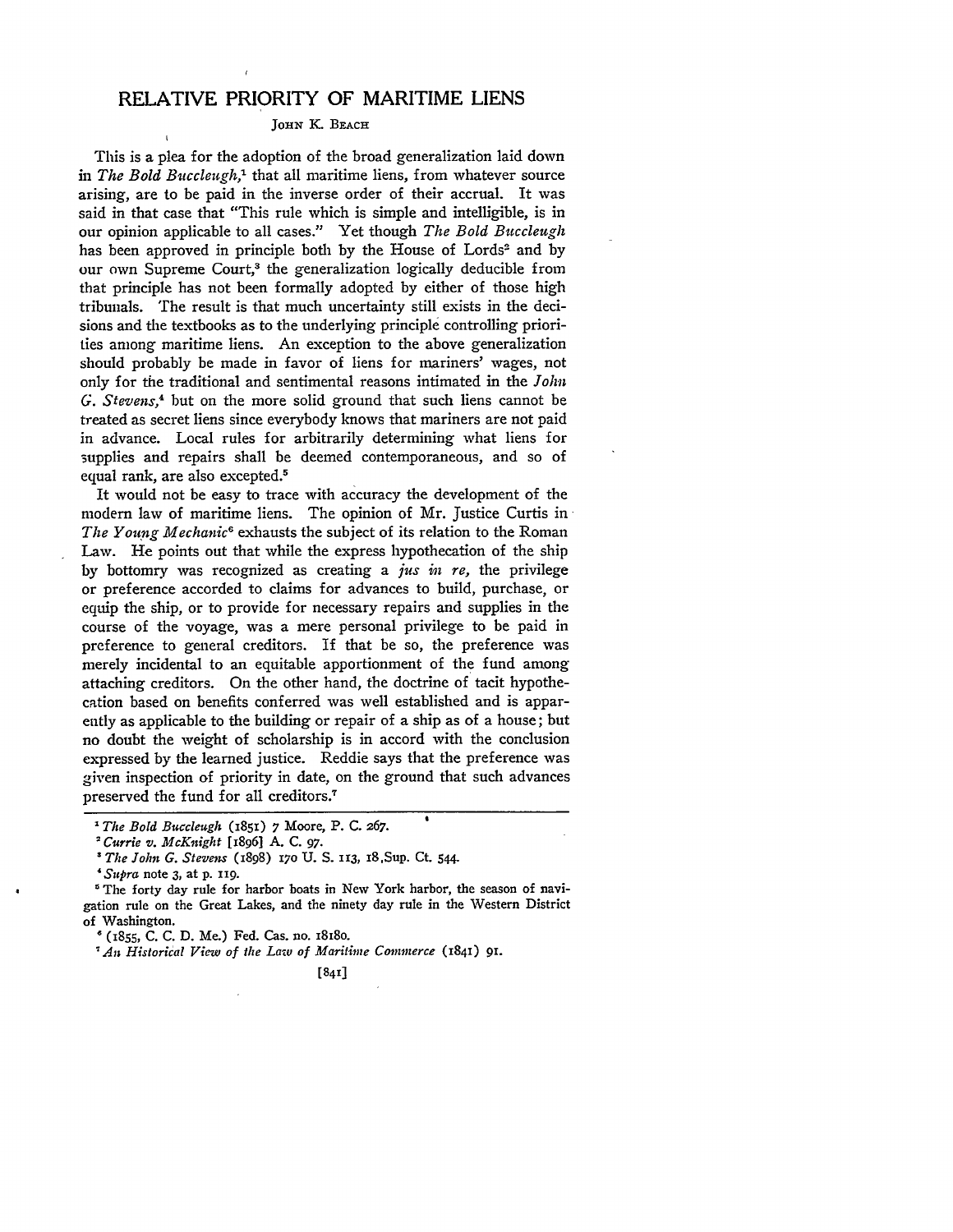## RELATIVE PRIORITY OF MARITIME **LIENS**

## JoHN K. **BFAcH**

This is a plea for the adoption of the broad generalization laid down in *The Bold Buccleugh,'* that all maritime liens, from whatever source arising, are to be paid in the inverse order of their accrual. It was said in that case that "This rule which is simple and intelligible, is in our opinion applicable to all cases." Yet though *The Bold Buccleugh* has been approved in principle both by the House of Lords<sup>2</sup> and by our own Supreme Court,<sup>3</sup> the generalization logically deducible from that principle has not been formally adopted by either of those high tribunals. The result is that much uncertainty still exists in the decisions and the textbooks as to the underlying principle controlling priorities among maritime liens. An exception to the above generalization should probably be made in favor of liens for mariners' wages, not only for the traditional and sentimental reasons intimated in the *John G. Stevens,4* but on the more solid ground that such liens cannot be treated as secret liens since everybody knows that mariners are not paid in advance. Local rules for arbitrarily determining what liens for supplies and repairs shall be deemed contemporaneous, and so of equal rank, are also excepted.<sup>5</sup>

It would not be easy to trace with accuracy the development of the modern law of maritime liens. The opinion of Mr. justice Curtis in *The Young Mechanic6* exhausts the subject of its relation to the Roman Law. He points out that while the express hypothecation of the ship by bottomry was recognized as creating a *jus in re*, the privilege or preference accorded to claims for advances to build, purchase, or equip the ship, or to provide for necessary repairs and supplies in the course of the voyage, was a mere personal privilege to be paid in preference to general creditors. If that be so, the preference was merely incidental to an equitable apportionment of the fund among attaching creditors. On the other hand, the doctrine of tacit hypothecation based on benefits conferred was well established and is apparently as applicable to the building or repair of a ship as of a house; but no doubt the weight of scholarship is in accord with the conclusion expressed by the learned justice. Reddie says that the preference was given inspection of priority in date, on the ground that such advances preserved the fund for all creditors.7

*Supra* note 3, at p. **119.**

<sup>5</sup> The forty day rule for harbor boats in New York harbor, the season of navigation rule on the Great Lakes, and the ninety day rule in the Western District of Washington.

**[841]**

<sup>&</sup>lt;sup>1</sup> *The Bold Buccleugh* (1851) 7 Moore, P. C. 267.

*<sup>&#</sup>x27;Currie v. McKnight* [1896] A. C. **97.**

*<sup>&#</sup>x27;The John G. Stevens* (x898) **170** U. S. **113,** I8,Sup. Ct. 544.

**<sup>(855,</sup>** C. C. D. Me.) Fed. Cas. no. i8i8o.

*<sup>&</sup>quot;An Historical View of the Law of Maritime Commerce* (84) **91.**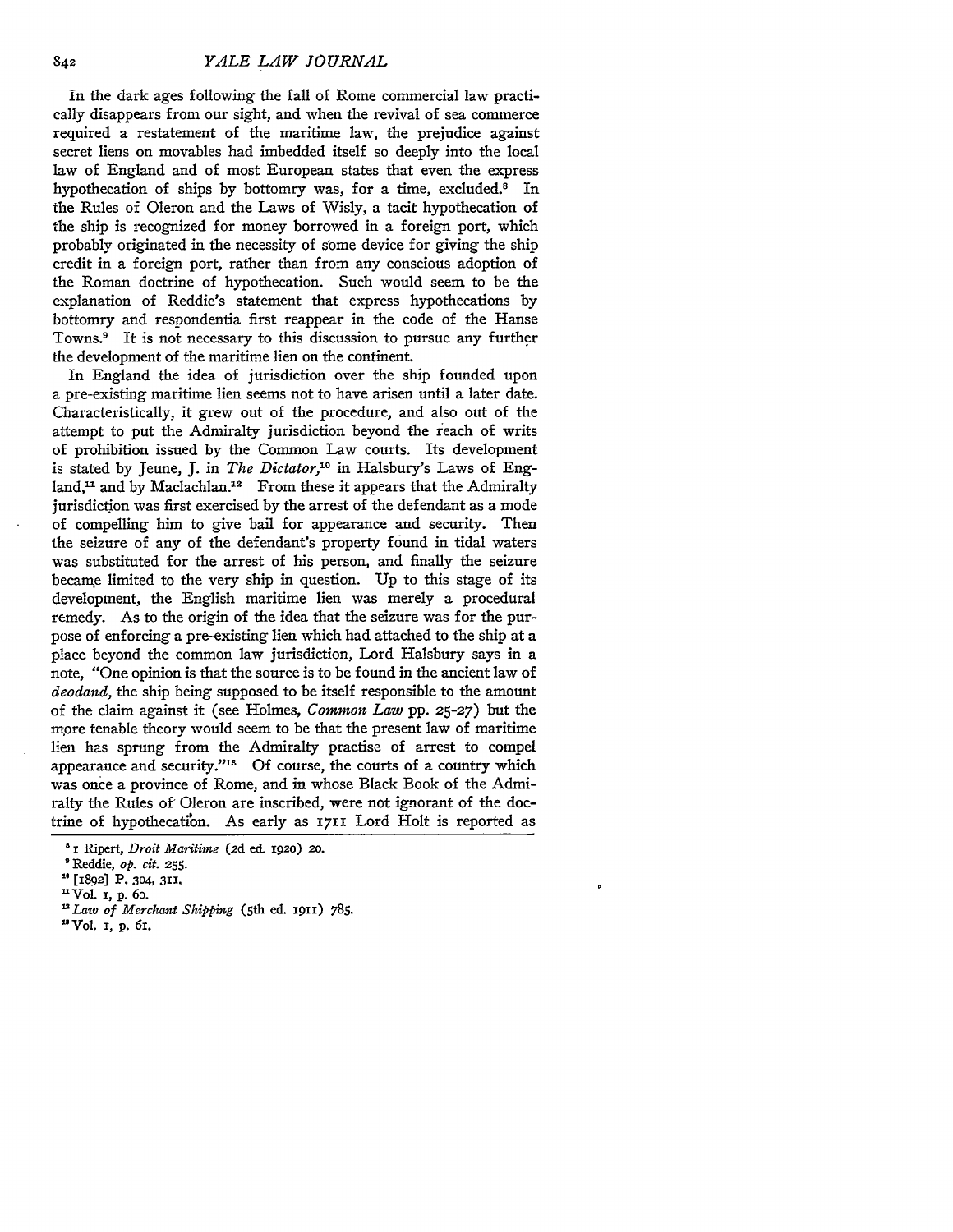in the dark ages following the fall of Rome commercial law practically disappears from our sight, and when the revival of sea commerce required a restatement of the maritime law, the prejudice against secret liens on movables had imbedded itself so deeply into the local law of England and of most European states that even the express hypothecation of ships **by** bottomry was, for a time, excluded.8 In the Rules of Oleron and the Laws of Wisly, a tacit hypothecation of the ship is recognized for money borrowed in a foreign port, which probably originated in the necessity of some device for giving the ship credit in a foreign port, rather than from any conscious adoption of the Roman doctrine of hypothecation. Such would seem to be the explanation of Reddie's statement that express hypothecations **by** bottomry and respondentia first reappear in the code of the Hanse Towns.9 It is not necessary to this discussion to pursue any further the development of the maritime lien on the continent.

In England the idea of jurisdiction over the ship founded upon a pre-existing maritime lien seems not to have arisen until a later date. Characteristically, it grew out of the procedure, and also out of the attempt to put the Admiralty jurisdiction beyond the reach of writs of prohibition issued **by** the Common Law courts. Its development is stated by Jeune, J. in *The Dictator*,<sup>10</sup> in Halsbury's Laws of England,<sup>11</sup> and by Maclachlan.<sup>12</sup> From these it appears that the Admiralty jurisdiction was first exercised **by** the arrest of the defendant as a mode of compelling him to give bail for appearance and security. Then the seizure of any of the defendant's property found in tidal waters was substituted for the arrest of his person, and finally the seizure became limited to the very ship in question. Up to this stage of its development, the English maritime lien was merely a procedural remedy. As to the origin of the idea that the seizure was for the purpose of enforcing a pre-existing lien which had attached to the ship at a place beyond the common law jurisdiction, Lord Halsbury says in a note, "One opinion is that the source is to be found in the ancient law of *deodand,* the ship being supposed to be itself responsible to the amount of the claim against it (see Holmes, *Common Law* **pp. 25-27)** but the more tenable theory would seem to be that the present law of maritime lien has sprung from the Admiralty practise of arrest to compel appearance and security." $13$  Of course, the courts of a country which was once a province of Rome, and in whose Black Book of the Admiralty the Rules of Oleron are inscribed, were not ignorant of the doctrine of hypothecatibn. As early as **1711** Lord Holt is reported as

- <sup>12</sup> Law of Merchant Shipping (5th ed. 1911) 785.
- "Vol. **i, p.** 61.

**<sup>8</sup> I** Ripert, *Droit Maritime* **(2d** ed. i92o) **20.**

Reddie, *op. cit.* **255.**

**<sup>[1892]</sup>** P. 304, **311.**

**SVol. i, p. 6o.**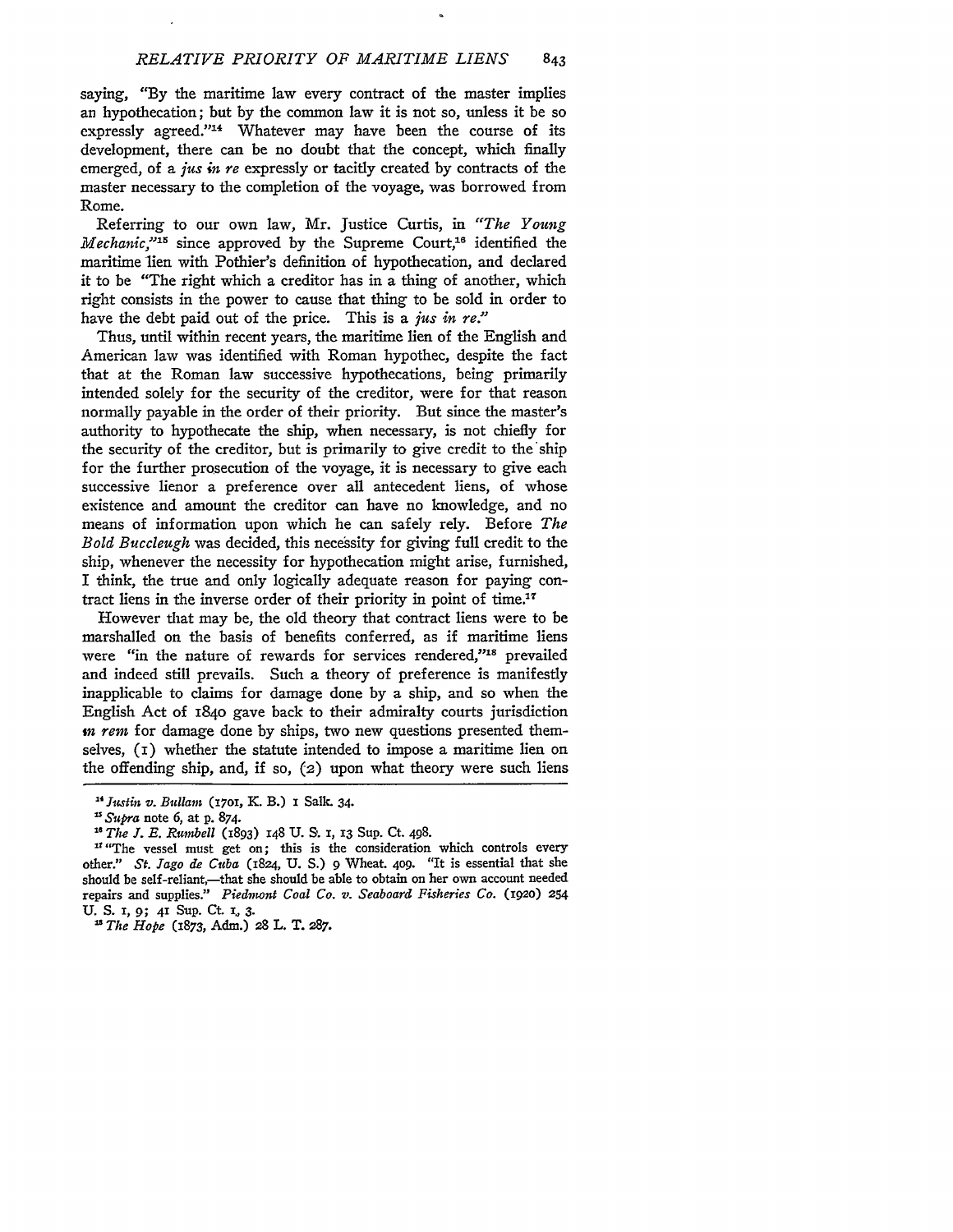saying, **"By** the maritime law every contract of the master implies an hypothecation; but by the common law it is not so, unless it be so expressly agreed."<sup>14</sup> Whatever may have been the course of its development, there can be no doubt that the concept, which finally emerged, of a *jus in re* expressly or tacitly created by contracts of the master necessary to the completion of the voyage, was borrowed from Rome.

Referring to our own law, Mr. Justice Curtis, in *"The Young Mechanic*,"<sup>15</sup> since approved by the Supreme Court,<sup>16</sup> identified the maritime lien with Pothier's definition of hypothecation, and declared it to be "The right which a creditor has in a thing of another, which right consists in the power to cause that thing to be sold in order to have the debt paid out of the price. This is a *jus in* re."

Thus, until within recent years, the maritime lien of the English and American law was identified with Roman hypothec, despite the fact that at the Roman law successive hypothecations, being primarily intended solely for the security of the creditor, were for that reason normally payable in the order of their priority. But since the master's authority to hypothecate the ship, when necessary, is not chiefly for the security of the creditor, but is primarily to give credit to the'ship for the further prosecution of the voyage, it is necessary to give each successive lienor a preference over all antecedent liens, of whose existence and amount the creditor can have no knowledge, and no means of information upon which he can safely rely. Before *The Bold Buccleugh* was decided, this necessity for giving full credit to the ship, whenever the necessity for hypothecation might arise, furnished, I think, the true and only logically adequate reason for paying contract liens in the inverse order of their priority in point of time.<sup>17</sup>

However that may be, the old theory that contract liens were to be marshalled on the basis of benefits conferred, as if maritime liens were "in the nature of rewards for services rendered,"<sup>18</sup> prevailed and indeed still prevails. Such a theory of preference is manifestly inapplicable to claims for damage done by a ship, and so when the English Act of 184o gave back to their admiralty courts jurisdiction *in rem* for damage done by ships, two new questions presented themselves,  $(I)$  whether the statute intended to impose a maritime lien on the offending ship, and, if so, (2) upon what theory were such liens

*<sup>&</sup>quot;* **\$wtin** *v. Bullar (1701,* **K.** B.) **i** Salk. 34.

**<sup>&#</sup>x27;** *Supra* note *6,* at **p.** 874.

*<sup>&</sup>quot;The I. E. Ruimbell* (893) 148 U. S. **1,** 13 Sup. Ct. 498.

<sup>&</sup>lt;sup>17</sup> "The vessel must get on; this is the consideration which controls every other." *St. Jago de Cuba* (1824, U. S.) 9 Wheat. 409. "It is essential that she should be self-reliant,-that she should be able to obtain on her **own** account needed repairs and supplies." *Piednwnt Coal Co. v. Seaboard Fisheries* **Co.** (192o) 254 **U.** S. **I, 9; 41** Sup. Ct **i** *3. The Hope* (1873, Adm.) **28** L. T. 287.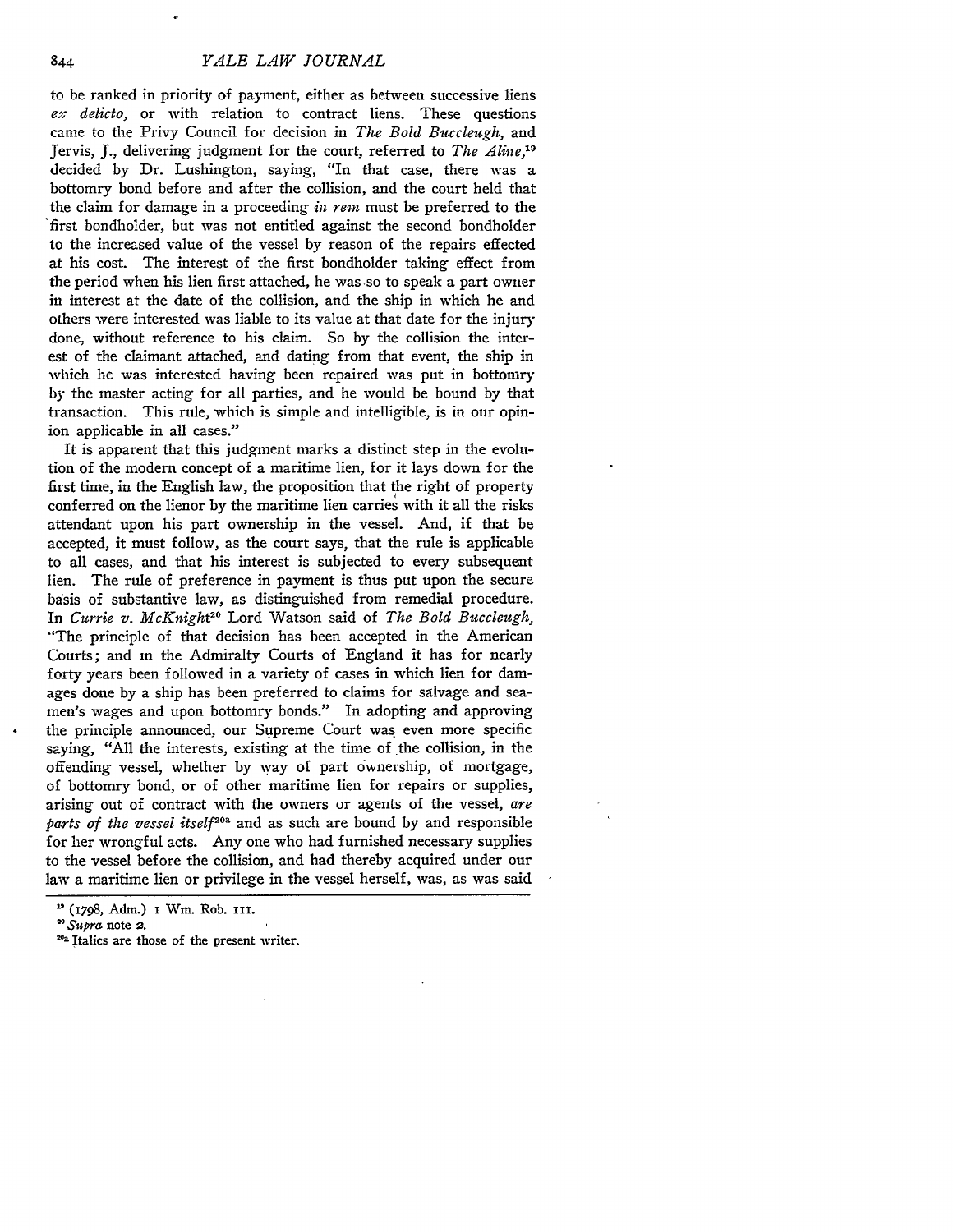to be ranked in priority of payment, either as between successive liens ex *delicto,* or with relation to contract liens. These questions came to the Privy Council for decision in *The Bold Buccleugh,* and Jervis, J., delivering judgment for the court, referred to *The Aline,* decided by Dr. Lushington, saying, "In that case, there was a bottomry bond before and after the collision, and the court held that the claim for damage in a proceeding *in rem* must be preferred to the 'first bondholder, but was not entitled against the second bondholder to the increased value of the vessel by reason of the repairs effected at his cost. The interest of the first bondholder taking effect from the period when his lien first attached, he was so to speak a part owner in interest at the date of the collision, and the ship in which he and others were interested was liable to its value at that date for the injury done, without reference to his claim. So by the collision the interest of the claimant attached, and dating from that event, the ship in which he was interested having been repaired was put in bottomry *by* the master acting for all parties, and he would be bound by that transaction. This rule, which is simple and intelligible, is in our opinion applicable in all cases."

It is apparent that this judgment marks a distinct step in the evolution of the modem concept of a maritime lien, for it lays down for the first time, in the English law, the proposition that the right **of** property conferred on the lienor by the maritime lien carries with it all the risks attendant upon his part ownership in the vessel. And, if that be accepted, it must follow, as the court says, that the rule is applicable to all cases, and that his interest is subjected to every subsequent lien. The rule of preference in payment is thus put upon the secure basis of substantive law, as distinguished from remedial procedure. In *Currie v. McKnight2 °* Lord Watson said of *The Bold Buccleugh,* "The principle of that decision has been accepted in the American Courts; and in the Admiralty Courts of England it has for nearly forty years been followed in a variety of cases in which lien for damages done by a ship has been preferred to claims for salvage and seamen's wages and upon bottomry bonds." In adopting and approving the principle announced, our Supreme Court was even more specific saying, "All the interests, existing at the time of the collision, in the offending vessel, whether by way of part ownership, of mortgage, of bottomry bond, or of other maritime lien for repairs or supplies, arising out of contract with the owners or agents of the vessel, are parts of the vessel itself<sup>20a</sup> and as such are bound by and responsible for her wrongful acts. Any one who had furnished necessary supplies to the vessel before the collision, and had thereby acquired under our law a maritime lien or privilege in the vessel herself, was, as was said

**<sup>&#</sup>x27;** (1798, Adm.) i Wm. Rob. iii.

*<sup>2</sup> oSupra* note **2.**

<sup>&</sup>lt;sup>20</sup><sup>2</sup> Italics are those of the present writer.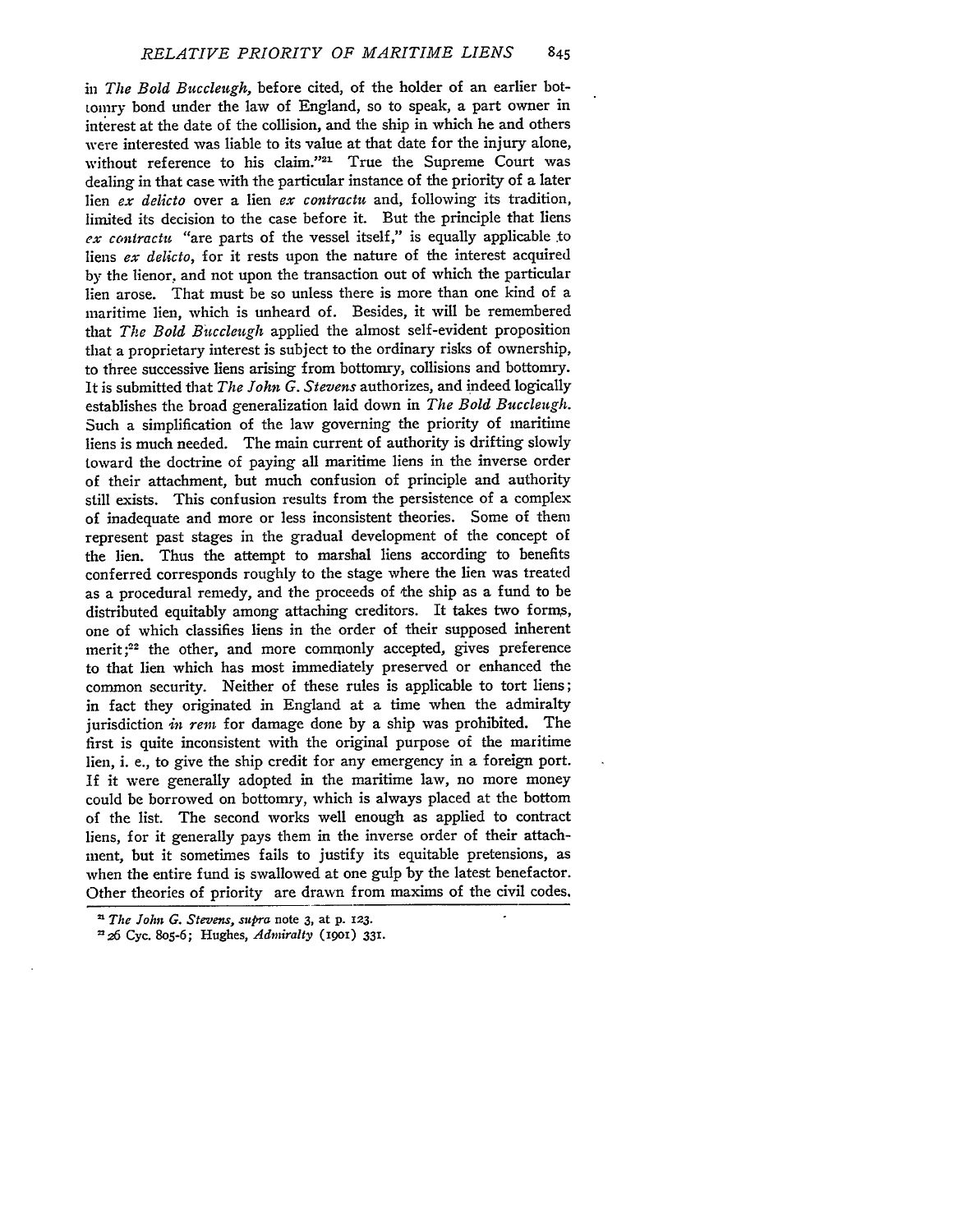in *The Bold Buccleugh,* before cited, of the holder of an earlier bottonmry bond under the law of England, so to speak, a part owner in interest at the date of the collision, and the ship in which he and others were interested was liable to its value at that date for the injury alone, without reference to his claim."<sup>21</sup> True the Supreme Court was dealing in that case with the particular instance of the priority of a later lien *ex delicto* over a lien *ex contractu* and, following its tradition, limited its decision to the case before it. But the principle that liens *ex contractu* "are parts of the vessel itself," is equally applicable to liens *ex delicto,* for it rests upon the nature of the interest acquired by the lienor, and not upon the transaction out of which the particular lien arose. That must be so unless there is more than one kind of a maritime lien, which is unheard of. Besides, it will be remembered that *The Bold BUccleugh* applied the almost self-evident proposition that a proprietary interest is subject to the ordinary risks of ownership, to three successive liens arising from bottomry, collisions and bottomry. It is submitted that *The John G. Stevens* authorizes, and indeed logically establishes the broad generalization laid down in *The Bold Buccleugh.* Such a simplification of the law governing the priority of maritime liens is much needed. The main current of authority is drifting slowly toward the doctrine of paying all maritime liens in the inverse order of their attachment, but much confusion of principle and authority still exists. This confusion results from the persistence of a complex of inadequate and more or less inconsistent theories. Some of them represent past stages in the gradual development of the concept of the lien. Thus the attempt to marshal liens according to benefits conferred corresponds roughly to the stage where the lien was treated as a procedural remedy, and the proceeds of the ship as a fund to be distributed equitably among attaching creditors. It takes two forms, one of which classifies liens in the order of their supposed inherent merit:<sup>22</sup> the other, and more commonly accepted, gives preference to that lien which has most immediately preserved or enhanced the common security. Neither of these rules is applicable to tort liens; in fact they originated in England at a time when the admiralty jurisdiction *in rem* for damage done by a ship was prohibited. The first is quite inconsistent with the original purpose of the maritime lien, i. e., to give the ship credit for any emergency in a foreign port. If it were generally adopted in the maritime law, no more money could be borrowed on bottomry, which is always placed at the bottom of the list. The second works well enough as applied to contract liens, for it generally pays them in the inverse order of their attachment, but it sometimes fails to justify its equitable pretensions, as when the entire fund is swallowed at one gulp by the latest benefactor. Other theories of priority are drawn from maxims of the civil codes.

*<sup>&#</sup>x27; The John G. Stevens, supra* note 3, at **p.** 123.

**<sup>&#</sup>x27;226 Cyc. 8o5-6;** Hughes, *Admiralty* (09o) **331.**